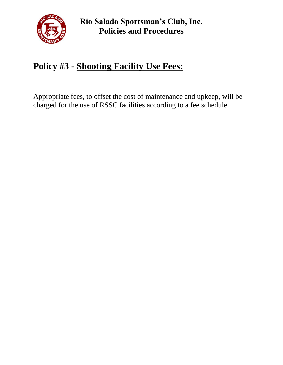

**Rio Salado Sportsman's Club, Inc. Policies and Procedures**

## **Policy #3 - Shooting Facility Use Fees:**

Appropriate fees, to offset the cost of maintenance and upkeep, will be charged for the use of RSSC facilities according to a fee schedule.